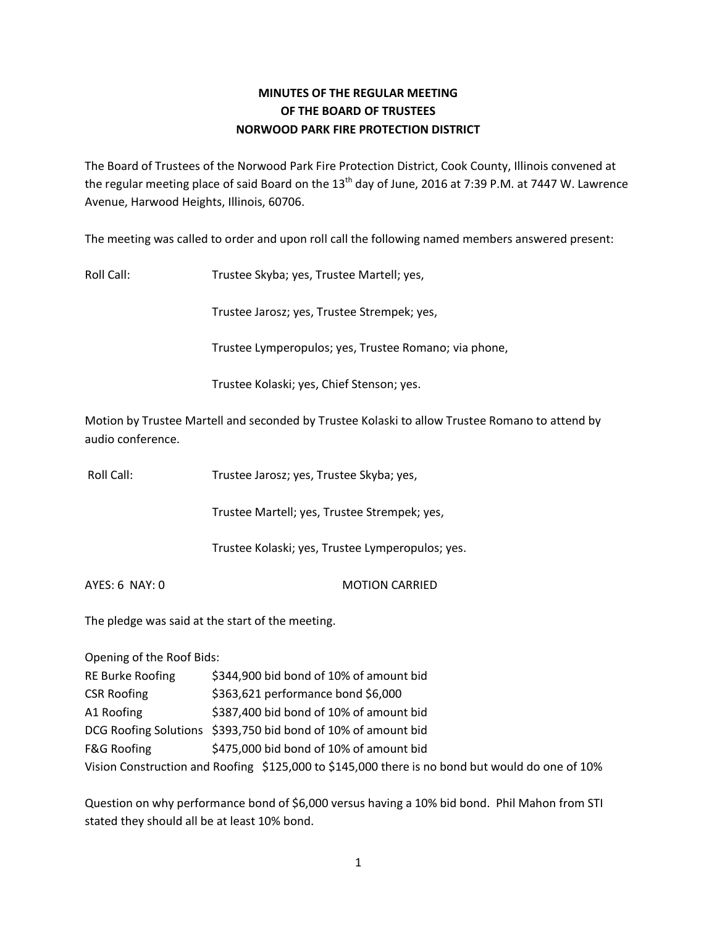# **MINUTES OF THE REGULAR MEETING OF THE BOARD OF TRUSTEES NORWOOD PARK FIRE PROTECTION DISTRICT**

The Board of Trustees of the Norwood Park Fire Protection District, Cook County, Illinois convened at the regular meeting place of said Board on the  $13<sup>th</sup>$  day of June, 2016 at 7:39 P.M. at 7447 W. Lawrence Avenue, Harwood Heights, Illinois, 60706.

The meeting was called to order and upon roll call the following named members answered present:

Roll Call: Trustee Skyba; yes, Trustee Martell; yes,

Trustee Jarosz; yes, Trustee Strempek; yes,

Trustee Lymperopulos; yes, Trustee Romano; via phone,

Trustee Kolaski; yes, Chief Stenson; yes.

Motion by Trustee Martell and seconded by Trustee Kolaski to allow Trustee Romano to attend by audio conference.

Roll Call: Trustee Jarosz; yes, Trustee Skyba; yes,

Trustee Martell; yes, Trustee Strempek; yes,

Trustee Kolaski; yes, Trustee Lymperopulos; yes.

AYES: 6 NAY: 0 MOTION CARRIED

The pledge was said at the start of the meeting.

Opening of the Roof Bids:

| <b>RE Burke Roofing</b> | \$344,900 bid bond of 10% of amount bid                                                         |
|-------------------------|-------------------------------------------------------------------------------------------------|
| <b>CSR Roofing</b>      | \$363,621 performance bond \$6,000                                                              |
| A1 Roofing              | \$387,400 bid bond of 10% of amount bid                                                         |
|                         | DCG Roofing Solutions \$393,750 bid bond of 10% of amount bid                                   |
| <b>F&amp;G Roofing</b>  | \$475,000 bid bond of 10% of amount bid                                                         |
|                         | Vision Construction and Roofing \$125,000 to \$145,000 there is no bond but would do one of 10% |

Question on why performance bond of \$6,000 versus having a 10% bid bond. Phil Mahon from STI stated they should all be at least 10% bond.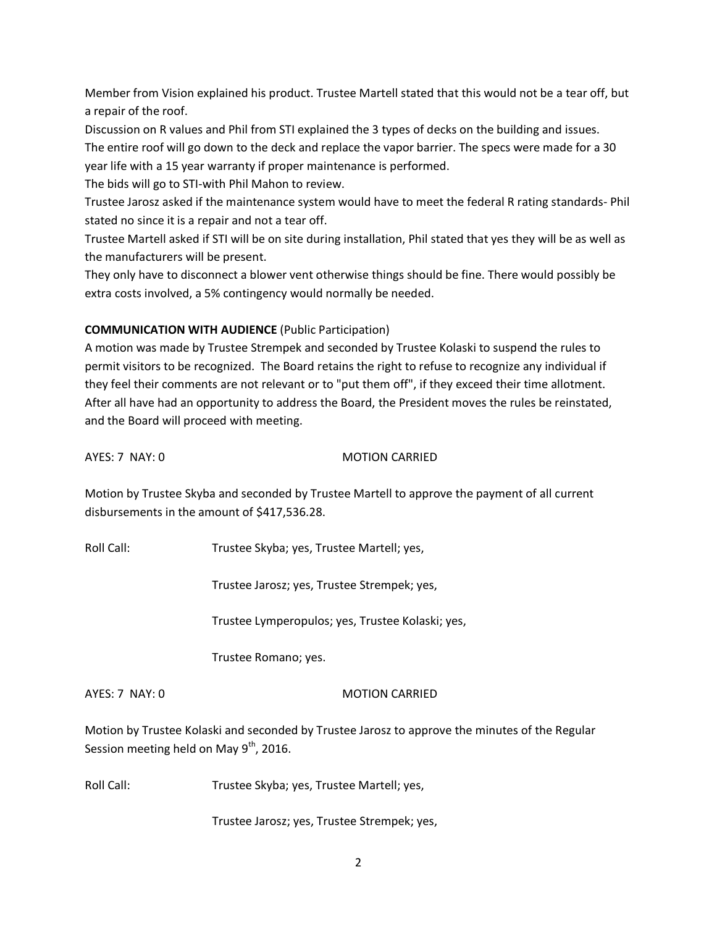Member from Vision explained his product. Trustee Martell stated that this would not be a tear off, but a repair of the roof.

Discussion on R values and Phil from STI explained the 3 types of decks on the building and issues. The entire roof will go down to the deck and replace the vapor barrier. The specs were made for a 30 year life with a 15 year warranty if proper maintenance is performed.

The bids will go to STI-with Phil Mahon to review.

Trustee Jarosz asked if the maintenance system would have to meet the federal R rating standards- Phil stated no since it is a repair and not a tear off.

Trustee Martell asked if STI will be on site during installation, Phil stated that yes they will be as well as the manufacturers will be present.

They only have to disconnect a blower vent otherwise things should be fine. There would possibly be extra costs involved, a 5% contingency would normally be needed.

# **COMMUNICATION WITH AUDIENCE** (Public Participation)

A motion was made by Trustee Strempek and seconded by Trustee Kolaski to suspend the rules to permit visitors to be recognized. The Board retains the right to refuse to recognize any individual if they feel their comments are not relevant or to "put them off", if they exceed their time allotment. After all have had an opportunity to address the Board, the President moves the rules be reinstated, and the Board will proceed with meeting.

AYES: 7 NAY: 0 MOTION CARRIED

Motion by Trustee Skyba and seconded by Trustee Martell to approve the payment of all current disbursements in the amount of \$417,536.28.

Roll Call: Trustee Skyba; yes, Trustee Martell; yes,

Trustee Jarosz; yes, Trustee Strempek; yes,

Trustee Lymperopulos; yes, Trustee Kolaski; yes,

Trustee Romano; yes.

AYES: 7 NAY: 0 MOTION CARRIED

Motion by Trustee Kolaski and seconded by Trustee Jarosz to approve the minutes of the Regular Session meeting held on May  $9<sup>th</sup>$ , 2016.

Roll Call: Trustee Skyba; yes, Trustee Martell; yes,

Trustee Jarosz; yes, Trustee Strempek; yes,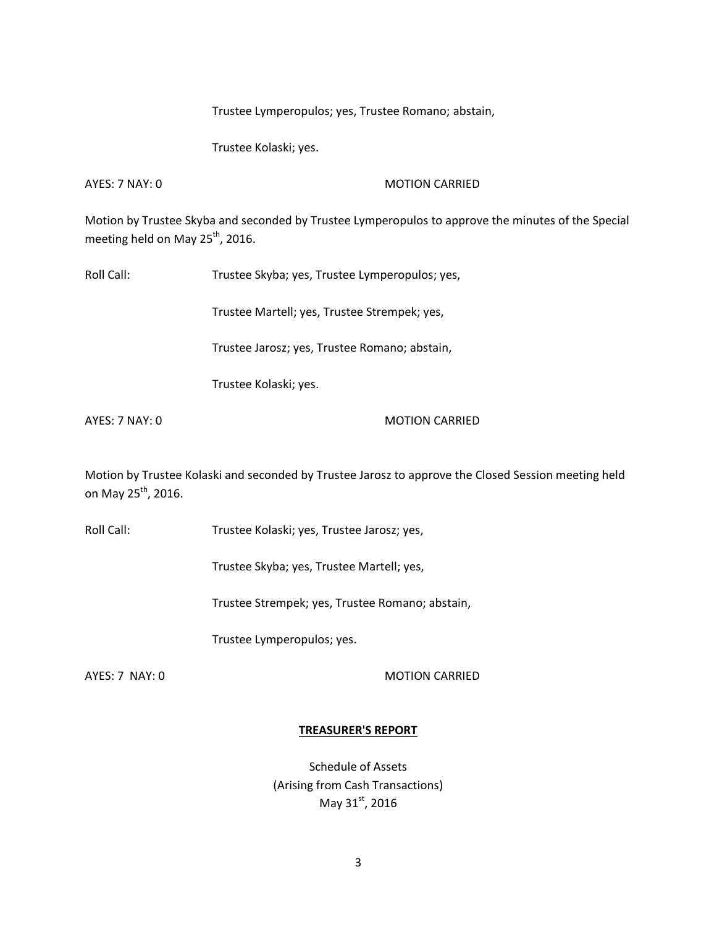Trustee Lymperopulos; yes, Trustee Romano; abstain,

Trustee Kolaski; yes.

AYES: 7 NAY: 0 MOTION CARRIED

Motion by Trustee Skyba and seconded by Trustee Lymperopulos to approve the minutes of the Special meeting held on May 25<sup>th</sup>, 2016.

Roll Call: Trustee Skyba; yes, Trustee Lymperopulos; yes,

Trustee Martell; yes, Trustee Strempek; yes,

Trustee Jarosz; yes, Trustee Romano; abstain,

Trustee Kolaski; yes.

AYES: 7 NAY: 0 MOTION CARRIED

Motion by Trustee Kolaski and seconded by Trustee Jarosz to approve the Closed Session meeting held on May 25<sup>th</sup>, 2016.

Roll Call: Trustee Kolaski; yes, Trustee Jarosz; yes,

Trustee Skyba; yes, Trustee Martell; yes,

Trustee Strempek; yes, Trustee Romano; abstain,

Trustee Lymperopulos; yes.

AYES: 7 NAY: 0 MOTION CARRIED

### **TREASURER'S REPORT**

Schedule of Assets (Arising from Cash Transactions) May 31st, 2016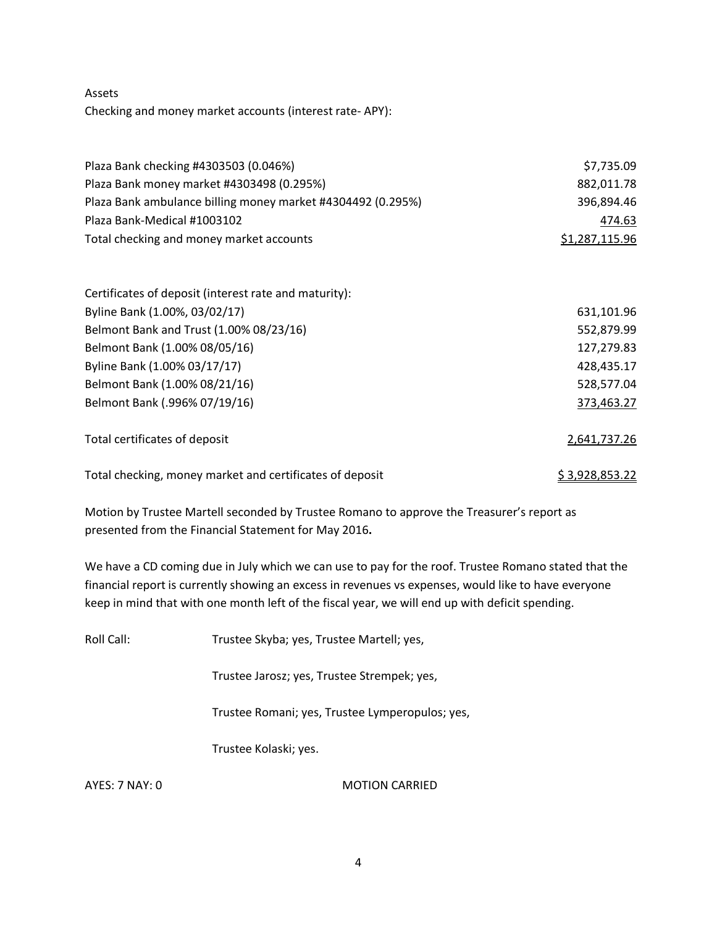Assets Checking and money market accounts (interest rate- APY):

| Plaza Bank checking #4303503 (0.046%)                       | \$7,735.09             |  |
|-------------------------------------------------------------|------------------------|--|
| Plaza Bank money market #4303498 (0.295%)                   | 882,011.78             |  |
| Plaza Bank ambulance billing money market #4304492 (0.295%) | 396,894.46             |  |
| Plaza Bank-Medical #1003102                                 | 474.63                 |  |
| Total checking and money market accounts                    | \$1,287,115.96         |  |
| Certificates of deposit (interest rate and maturity):       |                        |  |
| Byline Bank (1.00%, 03/02/17)                               | 631,101.96             |  |
| Belmont Bank and Trust (1.00% 08/23/16)                     | 552,879.99             |  |
| Belmont Bank (1.00% 08/05/16)                               | 127,279.83             |  |
| Byline Bank (1.00% 03/17/17)                                | 428,435.17             |  |
| Belmont Bank (1.00% 08/21/16)                               | 528,577.04             |  |
| Belmont Bank (.996% 07/19/16)                               | 373,463.27             |  |
| Total certificates of deposit                               | 2,641,737.26           |  |
| Total checking, money market and certificates of deposit    | <u>\$ 3,928,853.22</u> |  |

Motion by Trustee Martell seconded by Trustee Romano to approve the Treasurer's report as presented from the Financial Statement for May 2016**.** 

We have a CD coming due in July which we can use to pay for the roof. Trustee Romano stated that the financial report is currently showing an excess in revenues vs expenses, would like to have everyone keep in mind that with one month left of the fiscal year, we will end up with deficit spending.

Roll Call: Trustee Skyba; yes, Trustee Martell; yes,

Trustee Jarosz; yes, Trustee Strempek; yes,

Trustee Romani; yes, Trustee Lymperopulos; yes,

Trustee Kolaski; yes.

AYES: 7 NAY: 0 MOTION CARRIED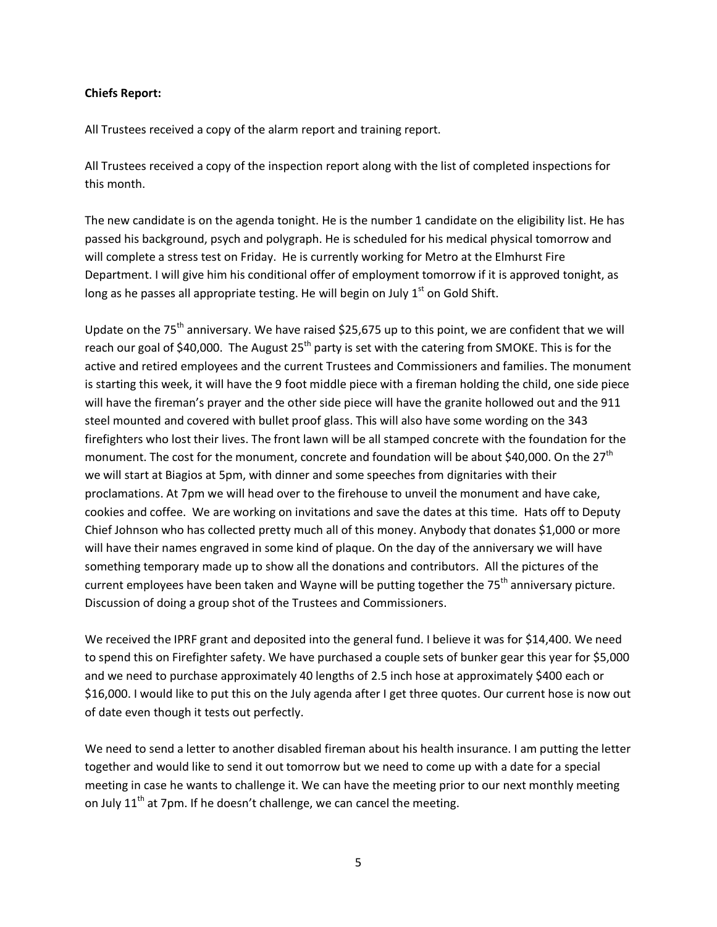### **Chiefs Report:**

All Trustees received a copy of the alarm report and training report.

All Trustees received a copy of the inspection report along with the list of completed inspections for this month.

The new candidate is on the agenda tonight. He is the number 1 candidate on the eligibility list. He has passed his background, psych and polygraph. He is scheduled for his medical physical tomorrow and will complete a stress test on Friday. He is currently working for Metro at the Elmhurst Fire Department. I will give him his conditional offer of employment tomorrow if it is approved tonight, as long as he passes all appropriate testing. He will begin on July  $1<sup>st</sup>$  on Gold Shift.

Update on the 75<sup>th</sup> anniversary. We have raised \$25,675 up to this point, we are confident that we will reach our goal of \$40,000. The August  $25<sup>th</sup>$  party is set with the catering from SMOKE. This is for the active and retired employees and the current Trustees and Commissioners and families. The monument is starting this week, it will have the 9 foot middle piece with a fireman holding the child, one side piece will have the fireman's prayer and the other side piece will have the granite hollowed out and the 911 steel mounted and covered with bullet proof glass. This will also have some wording on the 343 firefighters who lost their lives. The front lawn will be all stamped concrete with the foundation for the monument. The cost for the monument, concrete and foundation will be about \$40,000. On the 27<sup>th</sup> we will start at Biagios at 5pm, with dinner and some speeches from dignitaries with their proclamations. At 7pm we will head over to the firehouse to unveil the monument and have cake, cookies and coffee. We are working on invitations and save the dates at this time. Hats off to Deputy Chief Johnson who has collected pretty much all of this money. Anybody that donates \$1,000 or more will have their names engraved in some kind of plaque. On the day of the anniversary we will have something temporary made up to show all the donations and contributors. All the pictures of the current employees have been taken and Wayne will be putting together the 75<sup>th</sup> anniversary picture. Discussion of doing a group shot of the Trustees and Commissioners.

We received the IPRF grant and deposited into the general fund. I believe it was for \$14,400. We need to spend this on Firefighter safety. We have purchased a couple sets of bunker gear this year for \$5,000 and we need to purchase approximately 40 lengths of 2.5 inch hose at approximately \$400 each or \$16,000. I would like to put this on the July agenda after I get three quotes. Our current hose is now out of date even though it tests out perfectly.

We need to send a letter to another disabled fireman about his health insurance. I am putting the letter together and would like to send it out tomorrow but we need to come up with a date for a special meeting in case he wants to challenge it. We can have the meeting prior to our next monthly meeting on July  $11^{th}$  at 7pm. If he doesn't challenge, we can cancel the meeting.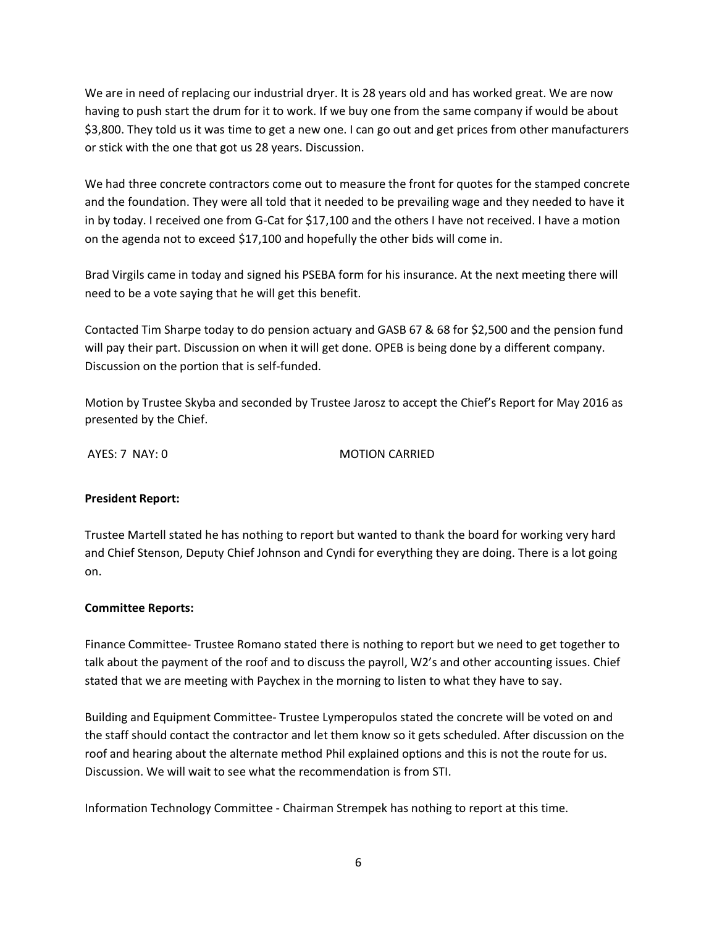We are in need of replacing our industrial dryer. It is 28 years old and has worked great. We are now having to push start the drum for it to work. If we buy one from the same company if would be about \$3,800. They told us it was time to get a new one. I can go out and get prices from other manufacturers or stick with the one that got us 28 years. Discussion.

We had three concrete contractors come out to measure the front for quotes for the stamped concrete and the foundation. They were all told that it needed to be prevailing wage and they needed to have it in by today. I received one from G-Cat for \$17,100 and the others I have not received. I have a motion on the agenda not to exceed \$17,100 and hopefully the other bids will come in.

Brad Virgils came in today and signed his PSEBA form for his insurance. At the next meeting there will need to be a vote saying that he will get this benefit.

Contacted Tim Sharpe today to do pension actuary and GASB 67 & 68 for \$2,500 and the pension fund will pay their part. Discussion on when it will get done. OPEB is being done by a different company. Discussion on the portion that is self-funded.

Motion by Trustee Skyba and seconded by Trustee Jarosz to accept the Chief's Report for May 2016 as presented by the Chief.

AYES: 7 NAY: 0 MOTION CARRIED

# **President Report:**

Trustee Martell stated he has nothing to report but wanted to thank the board for working very hard and Chief Stenson, Deputy Chief Johnson and Cyndi for everything they are doing. There is a lot going on.

### **Committee Reports:**

Finance Committee- Trustee Romano stated there is nothing to report but we need to get together to talk about the payment of the roof and to discuss the payroll, W2's and other accounting issues. Chief stated that we are meeting with Paychex in the morning to listen to what they have to say.

Building and Equipment Committee- Trustee Lymperopulos stated the concrete will be voted on and the staff should contact the contractor and let them know so it gets scheduled. After discussion on the roof and hearing about the alternate method Phil explained options and this is not the route for us. Discussion. We will wait to see what the recommendation is from STI.

Information Technology Committee - Chairman Strempek has nothing to report at this time.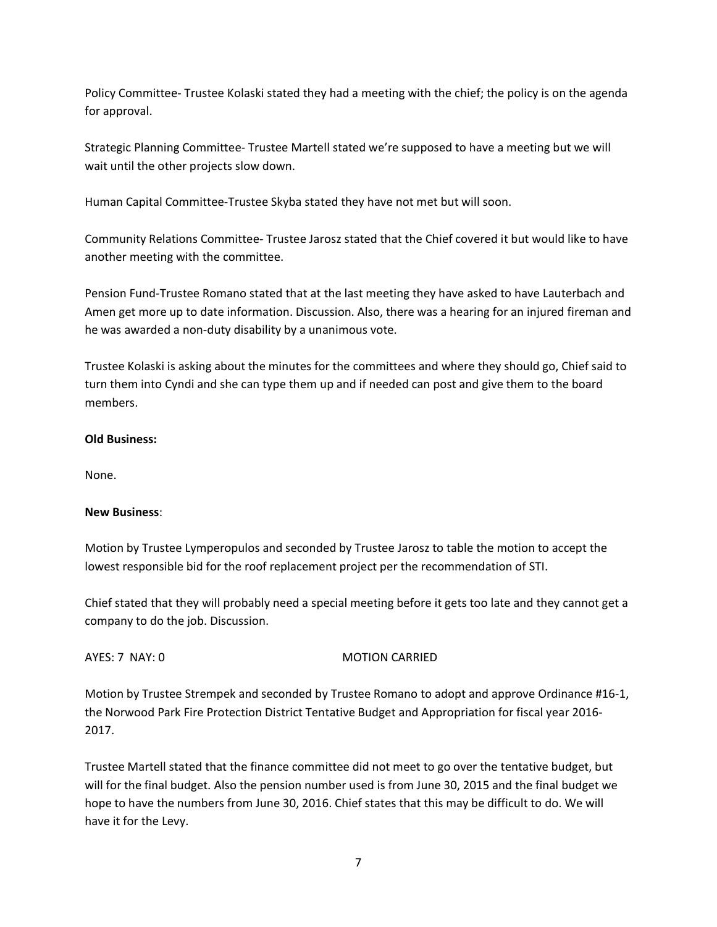Policy Committee- Trustee Kolaski stated they had a meeting with the chief; the policy is on the agenda for approval.

Strategic Planning Committee- Trustee Martell stated we're supposed to have a meeting but we will wait until the other projects slow down.

Human Capital Committee-Trustee Skyba stated they have not met but will soon.

Community Relations Committee- Trustee Jarosz stated that the Chief covered it but would like to have another meeting with the committee.

Pension Fund-Trustee Romano stated that at the last meeting they have asked to have Lauterbach and Amen get more up to date information. Discussion. Also, there was a hearing for an injured fireman and he was awarded a non-duty disability by a unanimous vote.

Trustee Kolaski is asking about the minutes for the committees and where they should go, Chief said to turn them into Cyndi and she can type them up and if needed can post and give them to the board members.

# **Old Business:**

None.

### **New Business**:

Motion by Trustee Lymperopulos and seconded by Trustee Jarosz to table the motion to accept the lowest responsible bid for the roof replacement project per the recommendation of STI.

Chief stated that they will probably need a special meeting before it gets too late and they cannot get a company to do the job. Discussion.

### AYES: 7 NAY: 0 MOTION CARRIED

Motion by Trustee Strempek and seconded by Trustee Romano to adopt and approve Ordinance #16-1, the Norwood Park Fire Protection District Tentative Budget and Appropriation for fiscal year 2016- 2017.

Trustee Martell stated that the finance committee did not meet to go over the tentative budget, but will for the final budget. Also the pension number used is from June 30, 2015 and the final budget we hope to have the numbers from June 30, 2016. Chief states that this may be difficult to do. We will have it for the Levy.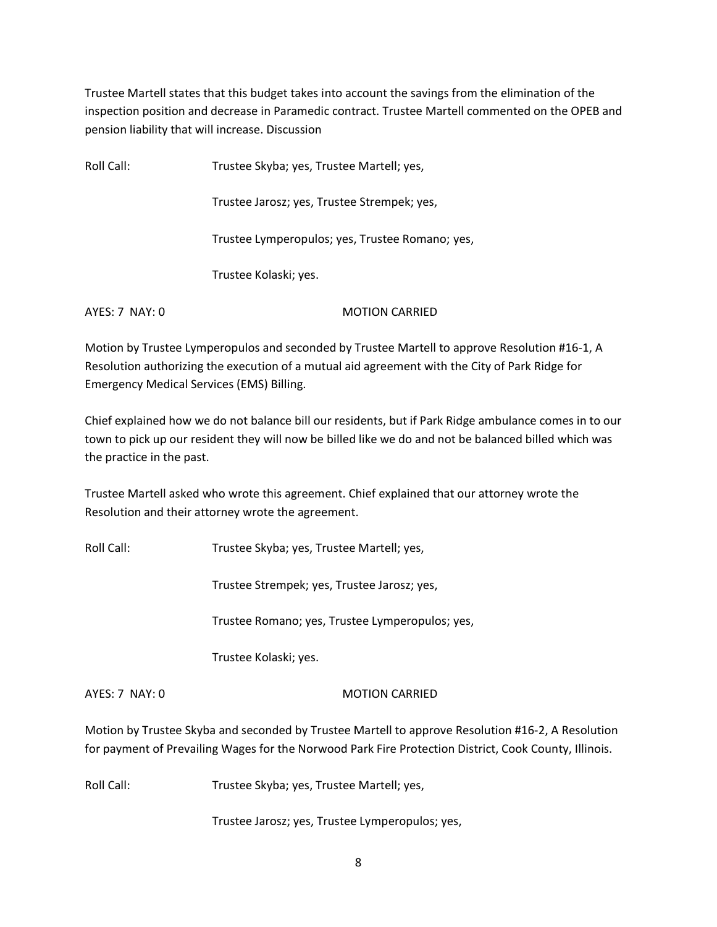Trustee Martell states that this budget takes into account the savings from the elimination of the inspection position and decrease in Paramedic contract. Trustee Martell commented on the OPEB and pension liability that will increase. Discussion

Roll Call: Trustee Skyba; yes, Trustee Martell; yes,

Trustee Jarosz; yes, Trustee Strempek; yes,

Trustee Lymperopulos; yes, Trustee Romano; yes,

Trustee Kolaski; yes.

AYES: 7 NAY: 0 MOTION CARRIED

Motion by Trustee Lymperopulos and seconded by Trustee Martell to approve Resolution #16-1, A Resolution authorizing the execution of a mutual aid agreement with the City of Park Ridge for Emergency Medical Services (EMS) Billing.

Chief explained how we do not balance bill our residents, but if Park Ridge ambulance comes in to our town to pick up our resident they will now be billed like we do and not be balanced billed which was the practice in the past.

Trustee Martell asked who wrote this agreement. Chief explained that our attorney wrote the Resolution and their attorney wrote the agreement.

Roll Call: Trustee Skyba; yes, Trustee Martell; yes,

Trustee Strempek; yes, Trustee Jarosz; yes,

Trustee Romano; yes, Trustee Lymperopulos; yes,

Trustee Kolaski; yes.

AYES: 7 NAY: 0 MOTION CARRIED

Motion by Trustee Skyba and seconded by Trustee Martell to approve Resolution #16-2, A Resolution for payment of Prevailing Wages for the Norwood Park Fire Protection District, Cook County, Illinois.

Roll Call: Trustee Skyba; yes, Trustee Martell; yes,

Trustee Jarosz; yes, Trustee Lymperopulos; yes,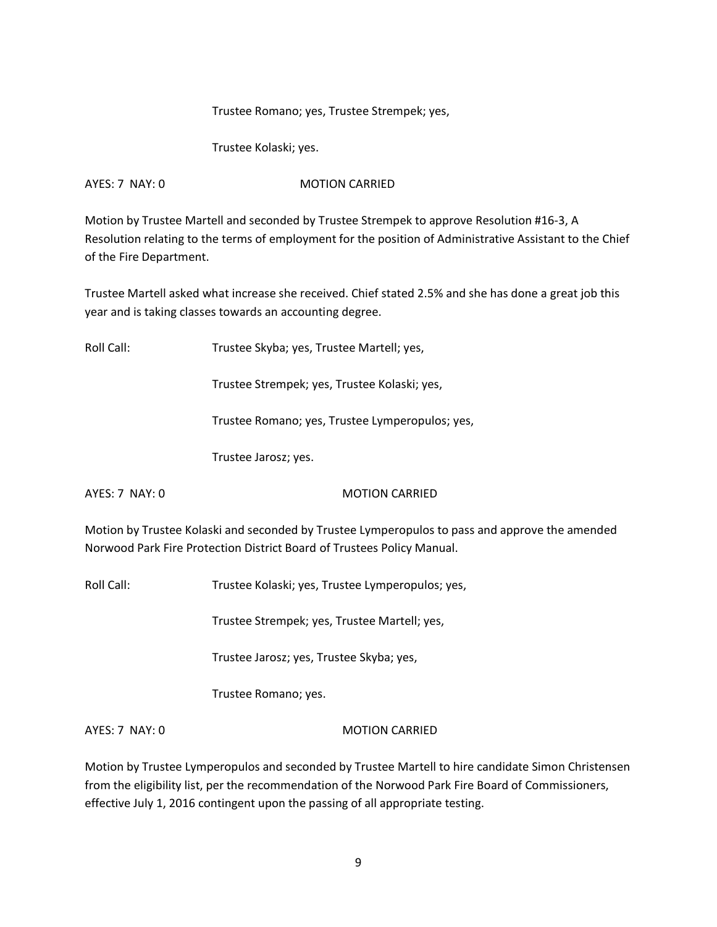Trustee Romano; yes, Trustee Strempek; yes,

Trustee Kolaski; yes.

AYES: 7 NAY: 0 MOTION CARRIED

Motion by Trustee Martell and seconded by Trustee Strempek to approve Resolution #16-3, A Resolution relating to the terms of employment for the position of Administrative Assistant to the Chief of the Fire Department.

Trustee Martell asked what increase she received. Chief stated 2.5% and she has done a great job this year and is taking classes towards an accounting degree.

Roll Call: Trustee Skyba; yes, Trustee Martell; yes,

Trustee Strempek; yes, Trustee Kolaski; yes,

Trustee Romano; yes, Trustee Lymperopulos; yes,

Trustee Jarosz; yes.

AYES: 7 NAY: 0 MOTION CARRIED

Motion by Trustee Kolaski and seconded by Trustee Lymperopulos to pass and approve the amended Norwood Park Fire Protection District Board of Trustees Policy Manual.

Roll Call: Trustee Kolaski; yes, Trustee Lymperopulos; yes,

Trustee Strempek; yes, Trustee Martell; yes,

Trustee Jarosz; yes, Trustee Skyba; yes,

Trustee Romano; yes.

AYES: 7 NAY: 0 MOTION CARRIED

Motion by Trustee Lymperopulos and seconded by Trustee Martell to hire candidate Simon Christensen from the eligibility list, per the recommendation of the Norwood Park Fire Board of Commissioners, effective July 1, 2016 contingent upon the passing of all appropriate testing.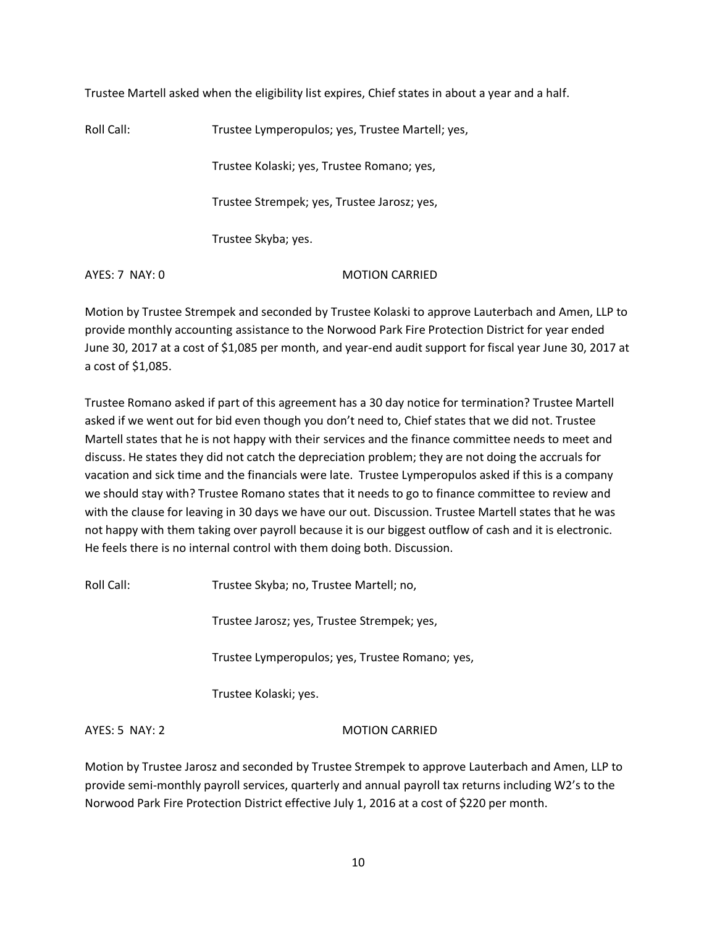Trustee Martell asked when the eligibility list expires, Chief states in about a year and a half.

Roll Call: Trustee Lymperopulos; yes, Trustee Martell; yes, Trustee Kolaski; yes, Trustee Romano; yes, Trustee Strempek; yes, Trustee Jarosz; yes, Trustee Skyba; yes.

AYES: 7 NAY: 0 MOTION CARRIED

Motion by Trustee Strempek and seconded by Trustee Kolaski to approve Lauterbach and Amen, LLP to provide monthly accounting assistance to the Norwood Park Fire Protection District for year ended June 30, 2017 at a cost of \$1,085 per month, and year-end audit support for fiscal year June 30, 2017 at a cost of \$1,085.

Trustee Romano asked if part of this agreement has a 30 day notice for termination? Trustee Martell asked if we went out for bid even though you don't need to, Chief states that we did not. Trustee Martell states that he is not happy with their services and the finance committee needs to meet and discuss. He states they did not catch the depreciation problem; they are not doing the accruals for vacation and sick time and the financials were late. Trustee Lymperopulos asked if this is a company we should stay with? Trustee Romano states that it needs to go to finance committee to review and with the clause for leaving in 30 days we have our out. Discussion. Trustee Martell states that he was not happy with them taking over payroll because it is our biggest outflow of cash and it is electronic. He feels there is no internal control with them doing both. Discussion.

Roll Call: Trustee Skyba; no, Trustee Martell; no,

Trustee Jarosz; yes, Trustee Strempek; yes,

Trustee Lymperopulos; yes, Trustee Romano; yes,

Trustee Kolaski; yes.

AYES: 5 NAY: 2 MOTION CARRIED

Motion by Trustee Jarosz and seconded by Trustee Strempek to approve Lauterbach and Amen, LLP to provide semi-monthly payroll services, quarterly and annual payroll tax returns including W2's to the Norwood Park Fire Protection District effective July 1, 2016 at a cost of \$220 per month.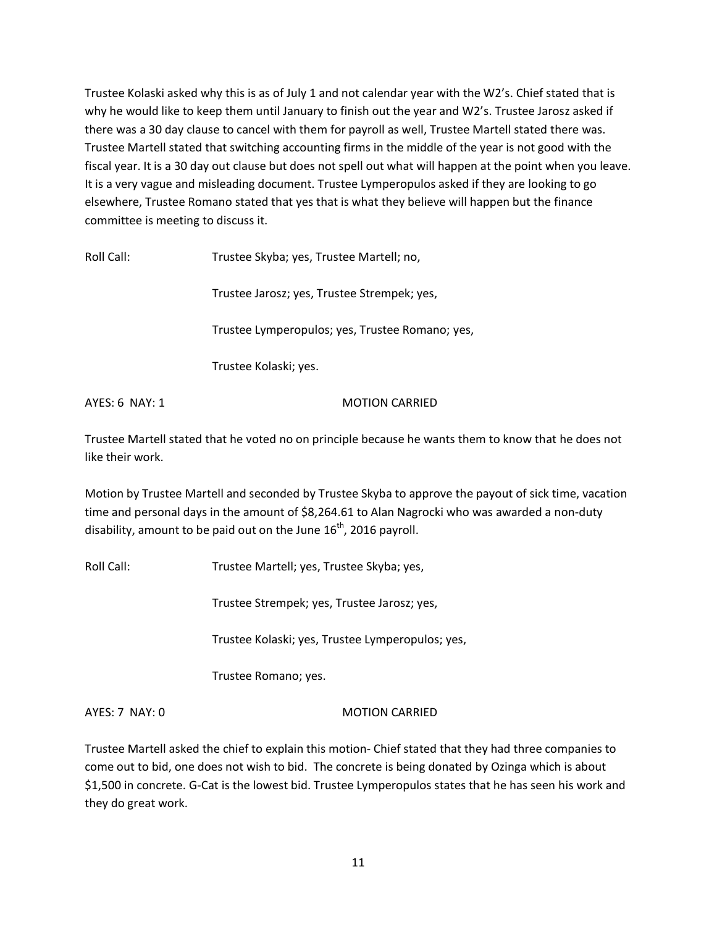Trustee Kolaski asked why this is as of July 1 and not calendar year with the W2's. Chief stated that is why he would like to keep them until January to finish out the year and W2's. Trustee Jarosz asked if there was a 30 day clause to cancel with them for payroll as well, Trustee Martell stated there was. Trustee Martell stated that switching accounting firms in the middle of the year is not good with the fiscal year. It is a 30 day out clause but does not spell out what will happen at the point when you leave. It is a very vague and misleading document. Trustee Lymperopulos asked if they are looking to go elsewhere, Trustee Romano stated that yes that is what they believe will happen but the finance committee is meeting to discuss it.

Roll Call: Trustee Skyba; yes, Trustee Martell; no,

Trustee Jarosz; yes, Trustee Strempek; yes,

Trustee Lymperopulos; yes, Trustee Romano; yes,

Trustee Kolaski; yes.

AYES: 6 NAY: 1 MOTION CARRIED

Trustee Martell stated that he voted no on principle because he wants them to know that he does not like their work.

Motion by Trustee Martell and seconded by Trustee Skyba to approve the payout of sick time, vacation time and personal days in the amount of \$8,264.61 to Alan Nagrocki who was awarded a non-duty disability, amount to be paid out on the June  $16<sup>th</sup>$ , 2016 payroll.

Roll Call: Trustee Martell; yes, Trustee Skyba; yes,

Trustee Strempek; yes, Trustee Jarosz; yes,

Trustee Kolaski; yes, Trustee Lymperopulos; yes,

Trustee Romano; yes.

AYES: 7 NAY: 0 MOTION CARRIED

Trustee Martell asked the chief to explain this motion- Chief stated that they had three companies to come out to bid, one does not wish to bid. The concrete is being donated by Ozinga which is about \$1,500 in concrete. G-Cat is the lowest bid. Trustee Lymperopulos states that he has seen his work and they do great work.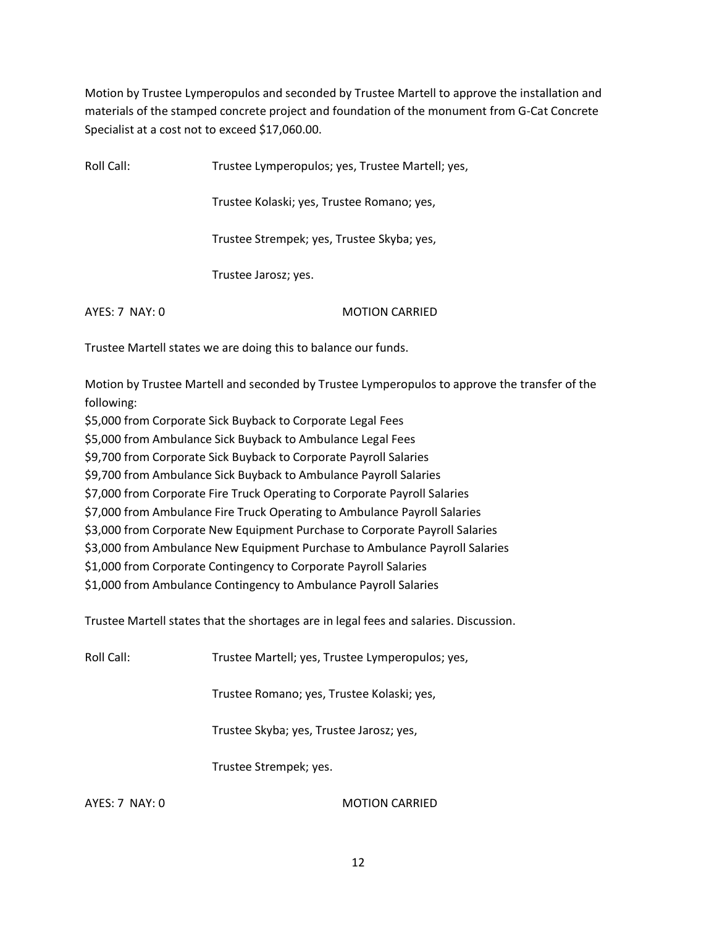Motion by Trustee Lymperopulos and seconded by Trustee Martell to approve the installation and materials of the stamped concrete project and foundation of the monument from G-Cat Concrete Specialist at a cost not to exceed \$17,060.00.

Roll Call: Trustee Lymperopulos; yes, Trustee Martell; yes,

Trustee Kolaski; yes, Trustee Romano; yes,

Trustee Strempek; yes, Trustee Skyba; yes,

Trustee Jarosz; yes.

AYES: 7 NAY: 0 MOTION CARRIED

Trustee Martell states we are doing this to balance our funds.

Motion by Trustee Martell and seconded by Trustee Lymperopulos to approve the transfer of the following:

\$5,000 from Corporate Sick Buyback to Corporate Legal Fees

\$5,000 from Ambulance Sick Buyback to Ambulance Legal Fees

\$9,700 from Corporate Sick Buyback to Corporate Payroll Salaries

\$9,700 from Ambulance Sick Buyback to Ambulance Payroll Salaries

\$7,000 from Corporate Fire Truck Operating to Corporate Payroll Salaries

\$7,000 from Ambulance Fire Truck Operating to Ambulance Payroll Salaries

\$3,000 from Corporate New Equipment Purchase to Corporate Payroll Salaries

\$3,000 from Ambulance New Equipment Purchase to Ambulance Payroll Salaries

\$1,000 from Corporate Contingency to Corporate Payroll Salaries

\$1,000 from Ambulance Contingency to Ambulance Payroll Salaries

Trustee Martell states that the shortages are in legal fees and salaries. Discussion.

| Roll Call: | Trustee Martell; yes, Trustee Lymperopulos; yes, |  |
|------------|--------------------------------------------------|--|
|            |                                                  |  |

Trustee Romano; yes, Trustee Kolaski; yes,

Trustee Skyba; yes, Trustee Jarosz; yes,

Trustee Strempek; yes.

AYES: 7 NAY: 0 MOTION CARRIED